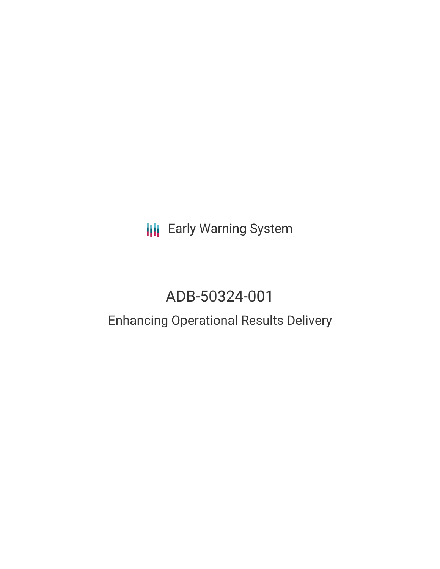**III** Early Warning System

# ADB-50324-001

## Enhancing Operational Results Delivery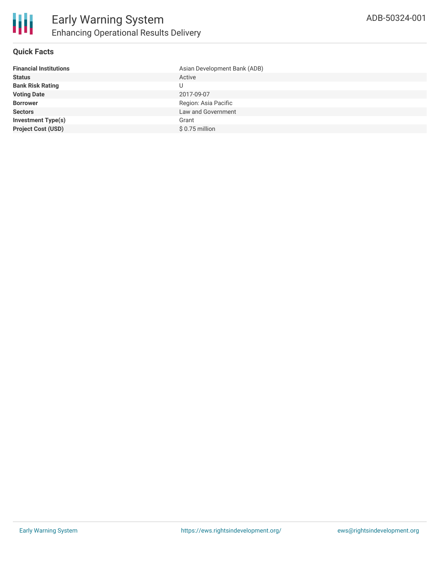#### **Quick Facts**

| <b>Financial Institutions</b> | Asian Development Bank (ADB) |
|-------------------------------|------------------------------|
| <b>Status</b>                 | Active                       |
| <b>Bank Risk Rating</b>       | U                            |
| <b>Voting Date</b>            | 2017-09-07                   |
| <b>Borrower</b>               | Region: Asia Pacific         |
| <b>Sectors</b>                | Law and Government           |
| <b>Investment Type(s)</b>     | Grant                        |
| <b>Project Cost (USD)</b>     | $$0.75$ million              |
|                               |                              |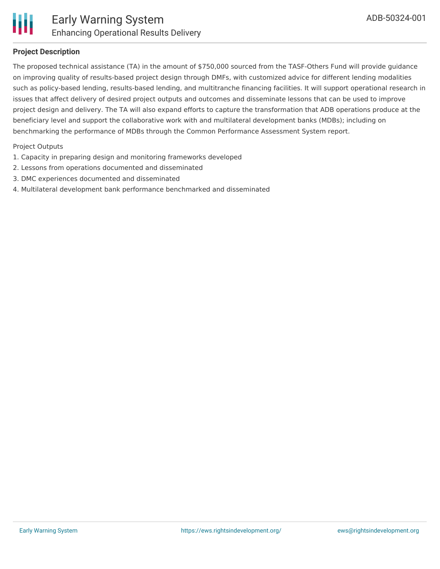

#### **Project Description**

The proposed technical assistance (TA) in the amount of \$750,000 sourced from the TASF-Others Fund will provide guidance on improving quality of results-based project design through DMFs, with customized advice for different lending modalities such as policy-based lending, results-based lending, and multitranche financing facilities. It will support operational research in issues that affect delivery of desired project outputs and outcomes and disseminate lessons that can be used to improve project design and delivery. The TA will also expand efforts to capture the transformation that ADB operations produce at the beneficiary level and support the collaborative work with and multilateral development banks (MDBs); including on benchmarking the performance of MDBs through the Common Performance Assessment System report.

#### Project Outputs

- 1. Capacity in preparing design and monitoring frameworks developed
- 2. Lessons from operations documented and disseminated
- 3. DMC experiences documented and disseminated
- 4. Multilateral development bank performance benchmarked and disseminated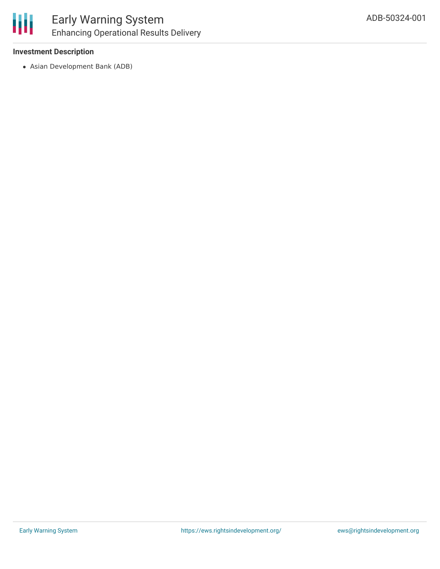

## Early Warning System Enhancing Operational Results Delivery

#### **Investment Description**

Asian Development Bank (ADB)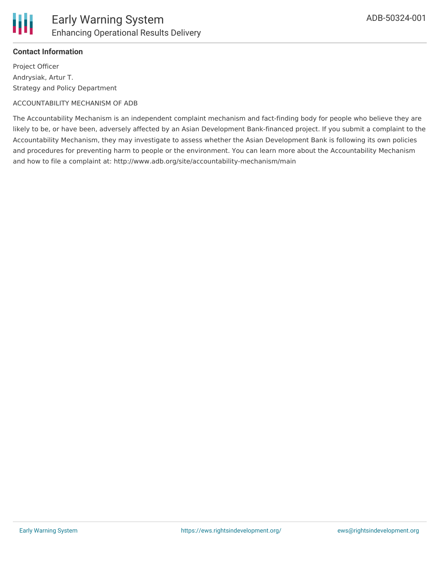

#### **Contact Information**

Project Officer Andrysiak, Artur T. Strategy and Policy Department

#### ACCOUNTABILITY MECHANISM OF ADB

The Accountability Mechanism is an independent complaint mechanism and fact-finding body for people who believe they are likely to be, or have been, adversely affected by an Asian Development Bank-financed project. If you submit a complaint to the Accountability Mechanism, they may investigate to assess whether the Asian Development Bank is following its own policies and procedures for preventing harm to people or the environment. You can learn more about the Accountability Mechanism and how to file a complaint at: http://www.adb.org/site/accountability-mechanism/main